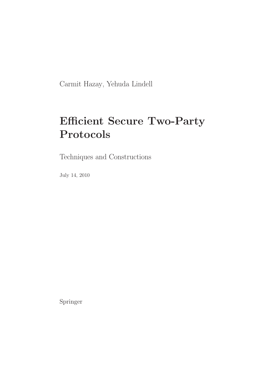Carmit Hazay, Yehuda Lindell

# Efficient Secure Two-Party Protocols

Techniques and Constructions

July 14, 2010

Springer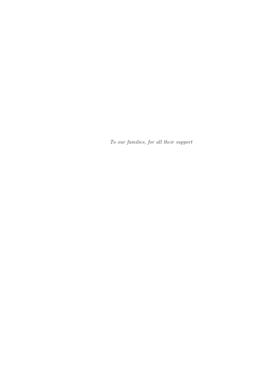To our families, for all their support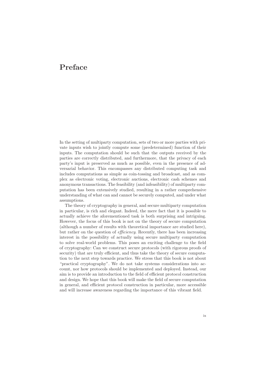# Preface

In the setting of multiparty computation, sets of two or more parties with private inputs wish to jointly compute some (predetermined) function of their inputs. The computation should be such that the outputs received by the parties are correctly distributed, and furthermore, that the privacy of each party's input is preserved as much as possible, even in the presence of adversarial behavior. This encompasses any distributed computing task and includes computations as simple as coin-tossing and broadcast, and as complex as electronic voting, electronic auctions, electronic cash schemes and anonymous transactions. The feasibility (and infeasibility) of multiparty computation has been extensively studied, resulting in a rather comprehensive understanding of what can and cannot be securely computed, and under what assumptions.

The theory of cryptography in general, and secure multiparty computation in particular, is rich and elegant. Indeed, the mere fact that it is possible to actually achieve the aforementioned task is both surprising and intriguing. However, the focus of this book is not on the theory of secure computation (although a number of results with theoretical importance are studied here), but rather on the question of *efficiency*. Recently, there has been increasing interest in the possibility of actually using secure multiparty computation to solve real-world problems. This poses an exciting challenge to the field of cryptography: Can we construct secure protocols (with rigorous proofs of security) that are truly efficient, and thus take the theory of secure computation to the next step towards practice. We stress that this book is not about "practical cryptography". We do not take systems considerations into account, nor how protocols should be implemented and deployed. Instead, our aim is to provide an introduction to the field of efficient protocol construction and design. We hope that this book will make the field of secure computation in general, and efficient protocol construction in particular, more accessible and will increase awareness regarding the importance of this vibrant field.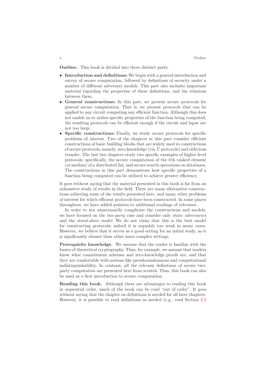Outline. This book is divided into three distinct parts:

- Introduction and definitions: We begin with a general introduction and survey of secure computation, followed by definitions of security under a number of different adversary models. This part also includes important material regarding the properties of these definitions, and the relations between them.
- General constructions: In this part, we present secure protocols for general secure computation. That is, we present protocols that can be applied to any circuit computing any efficient function. Although this does not enable us to utilize specific properties of the function being computed, the resulting protocols can be efficient enough if the circuit and input are not too large.
- Specific constructions: Finally, we study secure protocols for specific problems of interest. Two of the chapters in this part consider efficient constructions of basic building blocks that are widely used in constructions of secure protocols; namely, zero-knowledge (via  $\Sigma$  protocols) and oblivious transfer. The last two chapters study two specific examples of higher-level protocols; specifically, the secure computation of the kth ranked element (or median) of a distributed list, and secure search operations on databases. The constructions in this part demonstrate how specific properties of a function being computed can be utilized to achieve greater efficiency.

It goes without saying that the material presented in this book is far from an exhaustive study of results in the field. There are many alternative constructions achieving some of the results presented here, and many other problems of interest for which efficient protocols have been constructed. In some places throughout, we have added pointers to additional readings of relevance.

In order to not unnecessarily complicate the constructions and models, we have focused on the *two-party* case and consider only *static adversaries* and the *stand-alone model*. We do not claim that this is the best model for constructing protocols; indeed it is arguably too weak in many cases. However, we believe that it serves as a good setting for an initial study, as it is significantly cleaner than other more complex settings.

Prerequisite knowledge. We assume that the reader is familiar with the basics of theoretical cryptography. Thus, for example, we assume that readers know what commitment schemes and zero-knowledge proofs are, and that they are comfortable with notions like pseudorandomness and computational indistinguishability. In contrast, all the relevant definitions of secure twoparty computation are presented here from scratch. Thus, this book can also be used as a first introduction to secure computation.

Reading this book. Although there are advantages to reading this book in sequential order, much of the book can be read "out of order". It goes without saying that the chapter on definitions is needed for all later chapters. However, it is possible to read definitions as needed (e.g., read Section 2.2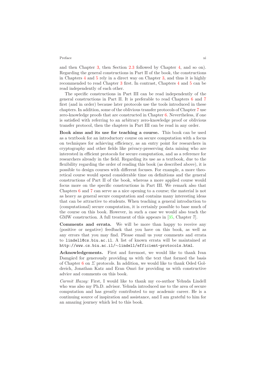#### Preface xi

and then Chapter 3, then Section 2.3 followed by Chapter 4, and so on). Regarding the general constructions in Part II of the book, the constructions in Chapters 4 and 5 rely in a direct way on Chapter 3, and thus it is highly recommended to read Chapter 3 first. In contrast, Chapters 4 and 5 can be read independently of each other.

The specific constructions in Part III can be read independently of the general constructions in Part II. It is preferable to read Chapters 6 and 7 first (and in order) because later protocols use the tools introduced in these chapters. In addition, some of the oblivious transfer protocols of Chapter 7 use zero-knowledge proofs that are constructed in Chapter 6. Nevertheless, if one is satisfied with referring to an arbitrary zero-knowledge proof or oblivious transfer protocol, then the chapters in Part III can be read in any order.

Book aims and its use for teaching a course. This book can be used as a textbook for an introductory course on secure computation with a focus on techniques for achieving efficiency, as an entry point for researchers in cryptography and other fields like privacy-preserving data mining who are interested in efficient protocols for secure computation, and as a reference for researchers already in the field. Regarding its use as a textbook, due to the flexibility regarding the order of reading this book (as described above), it is possible to design courses with different focuses. For example, a more theoretical course would spend considerable time on definitions and the general constructions of Part II of the book, whereas a more applied course would focus more on the specific constructions in Part III. We remark also that Chapters 6 and 7 can serve as a nice opening to a course; the material is not as heavy as general secure computation and contains many interesting ideas that can be attractive to students. When teaching a general introduction to (computational) secure computation, it is certainly possible to base much of the course on this book. However, in such a case we would also teach the GMW construction. A full treatment of this appears in [35, Chapter 7].

Comments and errata. We will be more than happy to receive any (positive or negative) feedback that you have on this book, as well as any errors that you may find. Please email us your comments and errata to lindell@cs.biu.ac.il. A list of known errata will be maintained at http://www.cs.biu.ac.il/∼lindell/efficient-protocols.html.

Acknowledgements. First and foremost, we would like to thank Ivan Damgård for generously providing us with the text that formed the basis of Chapter  $6$  on  $\Sigma$  protocols. In addition, we would like to thank Oded Goldreich, Jonathan Katz and Eran Omri for providing us with constructive advice and comments on this book.

*Carmit Hazay:* First, I would like to thank my co-author Yehuda Lindell who was also my Ph.D. advisor. Yehuda introduced me to the area of secure computation and has greatly contributed to my academic career. He is a continuing source of inspiration and assistance, and I am grateful to him for an amazing journey which led to this book.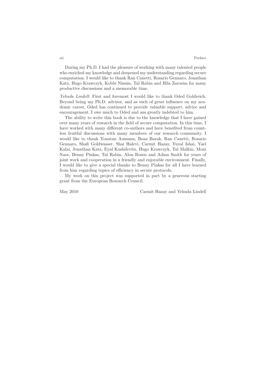During my Ph.D. I had the pleasure of working with many talented people who enriched my knowledge and deepened my understanding regarding secure computation. I would like to thank Ran Canetti, Rosario Gennaro, Jonathan Katz, Hugo Krawczyk, Kobbi Nissim, Tal Rabin and Hila Zarosim for many productive discussions and a memorable time.

*Yehuda Lindell:* First and foremost I would like to thank Oded Goldreich. Beyond being my Ph.D. advisor, and as such of great influence on my academic career, Oded has continued to provide valuable support, advice and encouragement. I owe much to Oded and am greatly indebted to him.

The ability to write this book is due to the knowledge that I have gained over many years of research in the field of secure computation. In this time, I have worked with many different co-authors and have benefited from countless fruitful discussions with many members of our research community. I would like to thank Yonatan Aumann, Boaz Barak, Ran Canetti, Rosario Gennaro, Shafi Goldwasser, Shai Halevi, Carmit Hazay, Yuval Ishai, Yael Kalai, Jonathan Katz, Eyal Kushilevitz, Hugo Krawczyk, Tal Malkin, Moni Naor, Benny Pinkas, Tal Rabin, Alon Rosen and Adam Smith for years of joint work and cooperation in a friendly and enjoyable environment. Finally, I would like to give a special thanks to Benny Pinkas for all I have learned from him regarding topics of efficiency in secure protocols.

My work on this project was supported in part by a generous starting grant from the European Research Council.

May 2010 Carmit Hazay and Yehuda Lindell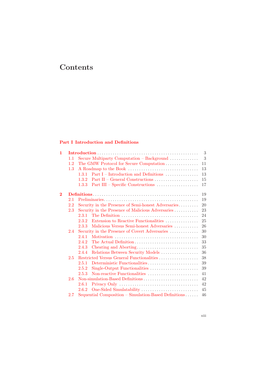# **Contents**

# Part I Introduction and Definitions

| 1        |     |                                                       | $\sqrt{3}$ |
|----------|-----|-------------------------------------------------------|------------|
|          | 1.1 | Secure Multiparty Computation – Background            | 3          |
|          | 1.2 | The GMW Protocol for Secure Computation               | 11         |
|          | 1.3 |                                                       | 13         |
|          |     | Part I – Introduction and Definitions<br>1.3.1        | 13         |
|          |     | 1.3.2                                                 | 15         |
|          |     | Part III – Specific Constructions<br>1.3.3            | 17         |
| $\bf{2}$ |     |                                                       | 19         |
|          | 2.1 |                                                       | 19         |
|          | 2.2 | Security in the Presence of Semi-honest Adversaries   | 20         |
|          | 2.3 | Security in the Presence of Malicious Adversaries     | 23         |
|          |     | 2.3.1                                                 | 24         |
|          |     | Extension to Reactive Functionalities<br>2.3.2        | 25         |
|          |     | Malicious Versus Semi-honest Adversaries<br>2.3.3     | 26         |
|          | 2.4 | Security in the Presence of Covert Adversaries        | 30         |
|          |     | 2.4.1                                                 | 30         |
|          |     | 2.4.2                                                 | 33         |
|          |     | 2.4.3                                                 | 35         |
|          |     | Relations Between Security Models<br>2.4.4            | 36         |
|          | 2.5 | Restricted Versus General Functionalities             | 38         |
|          |     | Deterministic Functionalities<br>2.5.1                | 39         |
|          |     | Single-Output Functionalities<br>2.5.2                | 39         |
|          |     | Non-reactive Functionalities<br>2.5.3                 | 41         |
|          | 2.6 |                                                       | 42         |
|          |     | 2.6.1                                                 | 42         |
|          |     | One-Sided Simulatability<br>2.6.2                     | 45         |
|          | 2.7 | Sequential Composition – Simulation-Based Definitions | 46         |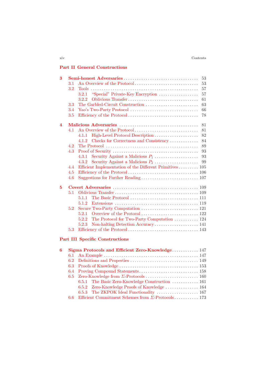# Part II General Constructions

| 3                       |     | 53                                                          |
|-------------------------|-----|-------------------------------------------------------------|
|                         | 3.1 | 53<br>An Overview of the Protocol                           |
|                         | 3.2 | 57                                                          |
|                         |     | "Special" Private-Key Encryption<br>57<br>3.2.1             |
|                         |     | Oblivious Transfer<br>61<br>3.2.2                           |
|                         | 3.3 | 63                                                          |
|                         | 3.4 | 66                                                          |
|                         | 3.5 | 78                                                          |
| $\overline{\mathbf{4}}$ |     | 81                                                          |
|                         | 4.1 | An Overview of the Protocol<br>81                           |
|                         |     | 82<br>4.1.1                                                 |
|                         |     | 4.1.2 Checks for Correctness and Consistency<br>84          |
|                         | 4.2 | 89                                                          |
|                         | 4.3 | 93                                                          |
|                         |     | Security Against a Malicious $P_1$<br>93<br>4.3.1           |
|                         |     | 99<br>4.3.2                                                 |
|                         | 4.4 | Efficient Implementation of the Different Primitives<br>105 |
|                         | 4.5 |                                                             |
|                         | 4.6 |                                                             |
| 5                       |     |                                                             |
|                         | 5.1 |                                                             |
|                         |     | 5.1.1                                                       |
|                         |     | 5.1.2                                                       |
|                         | 5.2 |                                                             |
|                         |     | 5.2.1                                                       |
|                         |     | The Protocol for Two-Party Computation  124<br>5.2.2        |
|                         |     | Non-halting Detection Accuracy 141<br>5.2.3                 |
|                         | 5.3 |                                                             |
|                         |     | $\sim$ $\sim$ $\sim$ $\sim$ $\sim$ $\sim$ $\sim$ $\sim$     |

### Part III Specific Constructions

| 6 |     | Sigma Protocols and Efficient Zero-Knowledge 147 |
|---|-----|--------------------------------------------------|
|   |     |                                                  |
|   |     |                                                  |
|   |     |                                                  |
|   |     |                                                  |
|   |     |                                                  |
|   |     |                                                  |
|   |     | 6.5.2 Zero-Knowledge Proofs of Knowledge  164    |
|   |     |                                                  |
|   | 6.6 |                                                  |
|   |     |                                                  |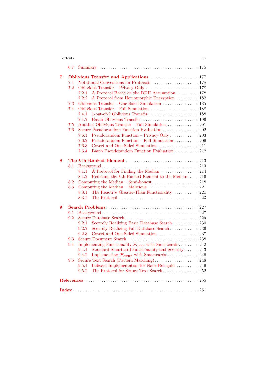| Contents<br>XV |         |                                                                                                          |  |  |  |
|----------------|---------|----------------------------------------------------------------------------------------------------------|--|--|--|
|                | $6.7\,$ |                                                                                                          |  |  |  |
| 7              |         |                                                                                                          |  |  |  |
|                | 7.1     |                                                                                                          |  |  |  |
|                | 7.2     |                                                                                                          |  |  |  |
|                |         | A Protocol Based on the DDH Assumption 178<br>$7.2.1\,$                                                  |  |  |  |
|                |         | 7.2.2<br>A Protocol from Homomorphic Encryption  182                                                     |  |  |  |
|                | 7.3     | Oblivious Transfer – One-Sided Simulation  185                                                           |  |  |  |
|                | 7.4     |                                                                                                          |  |  |  |
|                |         | 7.4.1                                                                                                    |  |  |  |
|                |         | 7.4.2                                                                                                    |  |  |  |
|                | 7.5     |                                                                                                          |  |  |  |
|                | 7.6     |                                                                                                          |  |  |  |
|                |         |                                                                                                          |  |  |  |
|                |         | 7.6.2                                                                                                    |  |  |  |
|                |         | 7.6.3                                                                                                    |  |  |  |
|                |         | Batch Pseudorandom Function Evaluation 212<br>7.6.4                                                      |  |  |  |
|                |         |                                                                                                          |  |  |  |
| 8              |         |                                                                                                          |  |  |  |
|                | 8.1     |                                                                                                          |  |  |  |
|                |         | 8.1.1                                                                                                    |  |  |  |
|                |         | Reducing the $k$ th-Ranked Element to the Median $\ldots$ 216<br>8.1.2                                   |  |  |  |
|                | 8.2     |                                                                                                          |  |  |  |
|                | 8.3     |                                                                                                          |  |  |  |
|                |         | The Reactive Greater-Than Functionality  221<br>8.3.1                                                    |  |  |  |
|                |         | The Protocol $\ldots \ldots \ldots \ldots \ldots \ldots \ldots \ldots \ldots \ldots \ldots$ 223<br>8.3.2 |  |  |  |
| 9              |         |                                                                                                          |  |  |  |
|                | $9.1\,$ |                                                                                                          |  |  |  |
|                | 9.2     |                                                                                                          |  |  |  |
|                |         | Securely Realizing Basic Database Search  230<br>9.2.1                                                   |  |  |  |
|                |         | Securely Realizing Full Database Search 236<br>9.2.2                                                     |  |  |  |
|                |         | 9.2.3                                                                                                    |  |  |  |
|                | 9.3     |                                                                                                          |  |  |  |
|                | 9.4     | Implementing Functionality $\mathcal{F}_{\textsc{cprp}}$ with Smartcards 242                             |  |  |  |
|                |         | Standard Smartcard Functionality and Security  243<br>9.4.1                                              |  |  |  |
|                |         | 9.4.2                                                                                                    |  |  |  |
|                | $9.5\,$ |                                                                                                          |  |  |  |
|                |         | Indexed Implementation for Naor-Reingold  249<br>9.5.1                                                   |  |  |  |
|                |         | 9.5.2                                                                                                    |  |  |  |
|                |         |                                                                                                          |  |  |  |
| 255            |         |                                                                                                          |  |  |  |
|                |         |                                                                                                          |  |  |  |
|                |         |                                                                                                          |  |  |  |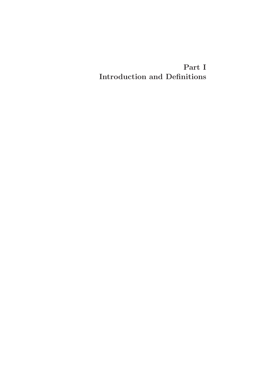# Part I Introduction and Definitions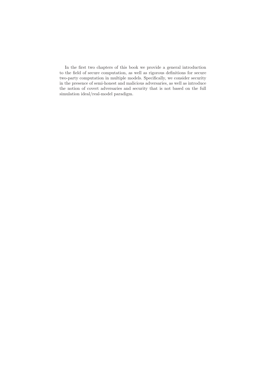In the first two chapters of this book we provide a general introduction to the field of secure computation, as well as rigorous definitions for secure two-party computation in multiple models. Specifically, we consider security in the presence of semi-honest and malicious adversaries, as well as introduce the notion of covert adversaries and security that is not based on the full simulation ideal/real-model paradigm.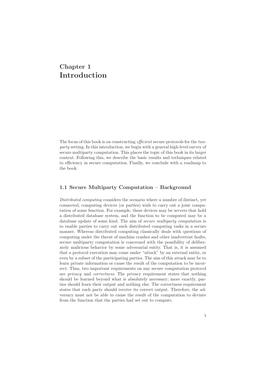# Chapter 1 Introduction

The focus of this book is on constructing *efficient* secure protocols for the *twoparty* setting. In this introduction, we begin with a general high-level survey of secure multiparty computation. This places the topic of this book in its larger context. Following this, we describe the basic results and techniques related to efficiency in secure computation. Finally, we conclude with a roadmap to the book.

# 1.1 Secure Multiparty Computation – Background

*Distributed computing* considers the scenario where a number of distinct, yet connected, computing devices (or parties) wish to carry out a joint computation of some function. For example, these devices may be servers that hold a distributed database system, and the function to be computed may be a database update of some kind. The aim of *secure multiparty computation* is to enable parties to carry out such distributed computing tasks in a secure manner. Whereas distributed computing classically deals with questions of computing under the threat of machine crashes and other inadvertent faults, secure multiparty computation is concerned with the possibility of deliberately malicious behavior by some adversarial entity. That is, it is assumed that a protocol execution may come under "attack" by an external entity, or even by a subset of the participating parties. The aim of this attack may be to learn private information or cause the result of the computation to be incorrect. Thus, two important requirements on any secure computation protocol are *privacy* and *correctness*. The privacy requirement states that nothing should be learned beyond what is absolutely necessary; more exactly, parties should learn their output and nothing else. The correctness requirement states that each party should receive its correct output. Therefore, the adversary must not be able to cause the result of the computation to deviate from the function that the parties had set out to compute.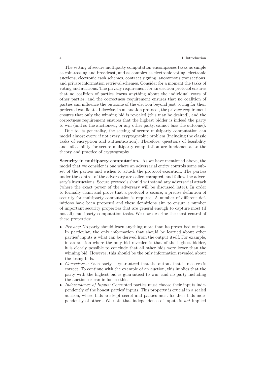#### 4 1 Introduction

The setting of secure multiparty computation encompasses tasks as simple as coin-tossing and broadcast, and as complex as electronic voting, electronic auctions, electronic cash schemes, contract signing, anonymous transactions, and private information retrieval schemes. Consider for a moment the tasks of voting and auctions. The privacy requirement for an election protocol ensures that no coalition of parties learns anything about the individual votes of other parties, and the correctness requirement ensures that no coalition of parties can influence the outcome of the election beyond just voting for their preferred candidate. Likewise, in an auction protocol, the privacy requirement ensures that only the winning bid is revealed (this may be desired), and the correctness requirement ensures that the highest bidder is indeed the party to win (and so the auctioneer, or any other party, cannot bias the outcome).

Due to its generality, the setting of secure multiparty computation can model almost every, if not every, cryptographic problem (including the classic tasks of encryption and authentication). Therefore, questions of feasibility and infeasibility for secure multiparty computation are fundamental to the theory and practice of cryptography.

Security in multiparty computation. As we have mentioned above, the model that we consider is one where an adversarial entity controls some subset of the parties and wishes to attack the protocol execution. The parties under the control of the adversary are called corrupted, and follow the adversary's instructions. Secure protocols should withstand any adversarial attack (where the exact power of the adversary will be discussed later). In order to formally claim and prove that a protocol is secure, a precise definition of security for multiparty computation is required. A number of different definitions have been proposed and these definitions aim to ensure a number of important security properties that are general enough to capture most (if not all) multiparty computation tasks. We now describe the most central of these properties:

- *Privacy:* No party should learn anything more than its prescribed output. In particular, the only information that should be learned about other parties' inputs is what can be derived from the output itself. For example, in an auction where the only bid revealed is that of the highest bidder, it is clearly possible to conclude that all other bids were lower than the winning bid. However, this should be the only information revealed about the losing bids.
- *Correctness:* Each party is guaranteed that the output that it receives is correct. To continue with the example of an auction, this implies that the party with the highest bid is guaranteed to win, and no party including the auctioneer can influence this.
- *Independence of Inputs:* Corrupted parties must choose their inputs independently of the honest parties' inputs. This property is crucial in a sealed auction, where bids are kept secret and parties must fix their bids independently of others. We note that independence of inputs is *not* implied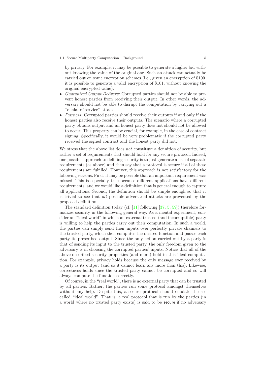#### 1.1 Secure Multiparty Computation – Background 5

by privacy. For example, it may be possible to generate a higher bid without knowing the value of the original one. Such an attack can actually be carried out on some encryption schemes (i.e., given an encryption of \$100, it is possible to generate a valid encryption of \$101, without knowing the original encrypted value).

- *Guaranteed Output Delivery:* Corrupted parties should not be able to prevent honest parties from receiving their output. In other words, the adversary should not be able to disrupt the computation by carrying out a "denial of service" attack.
- *Fairness:* Corrupted parties should receive their outputs if and only if the honest parties also receive their outputs. The scenario where a corrupted party obtains output and an honest party does not should not be allowed to occur. This property can be crucial, for example, in the case of contract signing. Specifically, it would be very problematic if the corrupted party received the signed contract and the honest party did not.

We stress that the above list does *not* constitute a definition of security, but rather a set of requirements that should hold for any secure protocol. Indeed, one possible approach to defining security is to just generate a list of separate requirements (as above) and then say that a protocol is secure if all of these requirements are fulfilled. However, this approach is not satisfactory for the following reasons. First, it may be possible that an important requirement was missed. This is especially true because different applications have different requirements, and we would like a definition that is general enough to capture all applications. Second, the definition should be simple enough so that it is trivial to see that *all* possible adversarial attacks are prevented by the proposed definition.

The standard definition today (cf. [11] following [37, 5, 59]) therefore formalizes security in the following general way. As a mental experiment, consider an "ideal world" in which an external trusted (and incorruptible) party is willing to help the parties carry out their computation. In such a world, the parties can simply send their inputs over perfectly private channels to the trusted party, which then computes the desired function and passes each party its prescribed output. Since the only action carried out by a party is that of sending its input to the trusted party, the only freedom given to the adversary is in choosing the corrupted parties' inputs. Notice that all of the above-described security properties (and more) hold in this ideal computation. For example, privacy holds because the only message ever received by a party is its output (and so it cannot learn any more than this). Likewise, correctness holds since the trusted party cannot be corrupted and so will always compute the function correctly.

Of course, in the "real world", there is no external party that can be trusted by all parties. Rather, the parties run some protocol amongst themselves without any help. Despite this, a secure protocol should emulate the socalled "ideal world". That is, a real protocol that is run by the parties (in a world where no trusted party exists) is said to be secure if no adversary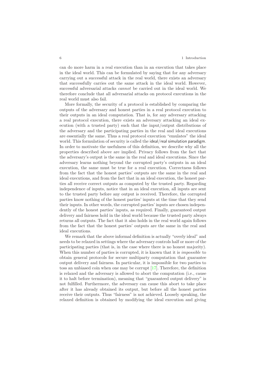### 6 1 Introduction

can do more harm in a real execution than in an execution that takes place in the ideal world. This can be formulated by saying that for any adversary carrying out a successful attack in the real world, there exists an adversary that successfully carries out the same attack in the ideal world. However, successful adversarial attacks *cannot* be carried out in the ideal world. We therefore conclude that all adversarial attacks on protocol executions in the real world must also fail.

More formally, the security of a protocol is established by comparing the outputs of the adversary and honest parties in a real protocol execution to their outputs in an ideal computation. That is, for any adversary attacking a real protocol execution, there exists an adversary attacking an ideal execution (with a trusted party) such that the input/output distributions of the adversary and the participating parties in the real and ideal executions are essentially the same. Thus a real protocol execution "emulates" the ideal world. This formulation of security is called the ideal/real simulation paradigm. In order to motivate the usefulness of this definition, we describe why all the properties described above are implied. Privacy follows from the fact that the adversary's output is the same in the real and ideal executions. Since the adversary learns nothing beyond the corrupted party's outputs in an ideal execution, the same must be true for a real execution. Correctness follows from the fact that the honest parties' outputs are the same in the real and ideal executions, and from the fact that in an ideal execution, the honest parties all receive correct outputs as computed by the trusted party. Regarding independence of inputs, notice that in an ideal execution, all inputs are sent to the trusted party before any output is received. Therefore, the corrupted parties know nothing of the honest parties' inputs at the time that they send their inputs. In other words, the corrupted parties' inputs are chosen independently of the honest parties' inputs, as required. Finally, guaranteed output delivery and fairness hold in the ideal world because the trusted party always returns all outputs. The fact that it also holds in the real world again follows from the fact that the honest parties' outputs are the same in the real and ideal executions.

We remark that the above informal definition is actually "overly ideal" and needs to be relaxed in settings where the adversary controls half or more of the participating parties (that is, in the case where there is no honest majority). When this number of parties is corrupted, it is known that it is *impossible* to obtain general protocols for secure multiparty computation that guarantee output delivery and fairness. In particular, it is impossible for two parties to toss an unbiased coin when one may be corrupt [17]. Therefore, the definition is relaxed and the adversary is allowed to abort the computation (i.e., cause it to halt before termination), meaning that "guaranteed output delivery" is not fulfilled. Furthermore, the adversary can cause this abort to take place after it has already obtained its output, but before all the honest parties receive their outputs. Thus "fairness" is not achieved. Loosely speaking, the relaxed definition is obtained by modifying the ideal execution and giving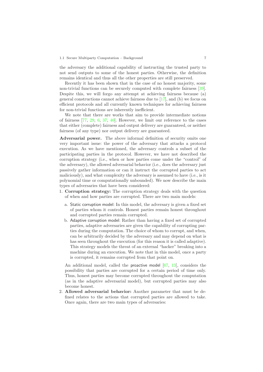#### 1.1 Secure Multiparty Computation – Background 7

the adversary the additional capability of instructing the trusted party to not send outputs to some of the honest parties. Otherwise, the definition remains identical and thus all the other properties are still preserved.

Recently it has been shown that in the case of no honest majority, some non-trivial functions can be securely computed with complete fairness [39]. Despite this, we will forgo any attempt at achieving fairness because (a) general constructions cannot achieve fairness due to [17], and (b) we focus on efficient protocols and all currently known techniques for achieving fairness for non-trivial functions are inherently inefficient.

We note that there are works that aim to provide intermediate notions of fairness [77, 29, 6, 37, 40]. However, we limit our reference to the cases that either (complete) fairness and output delivery are guaranteed, or neither fairness (of any type) nor output delivery are guaranteed.

Adversarial power. The above informal definition of security omits one very important issue: the power of the adversary that attacks a protocol execution. As we have mentioned, the adversary controls a subset of the participating parties in the protocol. However, we have not described the corruption strategy (i.e., when or how parties come under the "control" of the adversary), the allowed adversarial behavior (i.e., does the adversary just passively gather information or can it instruct the corrupted parties to act maliciously), and what complexity the adversary is assumed to have (i.e., is it polynomial time or computationally unbounded). We now describe the main types of adversaries that have been considered:

- 1. Corruption strategy: The corruption strategy deals with the question of when and how parties are corrupted. There are two main models:
	- a. Static corruption model: In this model, the adversary is given a fixed set of parties whom it controls. Honest parties remain honest throughout and corrupted parties remain corrupted.
	- b. Adaptive corruption model: Rather than having a fixed set of corrupted parties, adaptive adversaries are given the capability of corrupting parties during the computation. The choice of whom to corrupt, and when, can be arbitrarily decided by the adversary and may depend on what is has seen throughout the execution (for this reason it is called adaptive). This strategy models the threat of an external "hacker" breaking into a machine during an execution. We note that in this model, once a party is corrupted, it remains corrupted from that point on.

An additional model, called the proactive model [67, 13], considers the possibility that parties are corrupted for a certain period of time only. Thus, honest parties may become corrupted throughout the computation (as in the adaptive adversarial model), but corrupted parties may also become honest.

2. Allowed adversarial behavior: Another parameter that must be defined relates to the actions that corrupted parties are allowed to take. Once again, there are two main types of adversaries: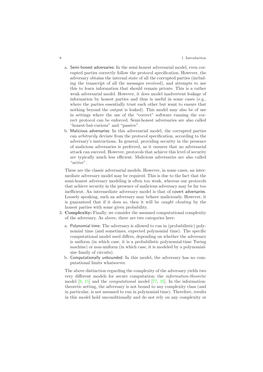#### 8 1 Introduction

- a. Semi-honest adversaries: In the semi-honest adversarial model, even corrupted parties correctly follow the protocol specification. However, the adversary obtains the internal state of all the corrupted parties (including the transcript of all the messages received), and attempts to use this to learn information that should remain private. This is a rather weak adversarial model. However, it does model inadvertent leakage of information by honest parties and thus is useful in some cases (e.g., where the parties essentially trust each other but want to ensure that nothing beyond the output is leaked). This model may also be of use in settings where the use of the "correct" software running the correct protocol can be enforced. Semi-honest adversaries are also called "honest-but-curious" and "passive".
- b. Malicious adversaries: In this adversarial model, the corrupted parties can *arbitrarily* deviate from the protocol specification, according to the adversary's instructions. In general, providing security in the presence of malicious adversaries is preferred, as it ensures that no adversarial attack can succeed. However, protocols that achieve this level of security are typically much less efficient. Malicious adversaries are also called "active".

These are the classic adversarial models. However, in some cases, an intermediate adversary model may be required. This is due to the fact that the semi-honest adversary modeling is often too weak, whereas our protocols that achieve security in the presence of malicious adversary may be far too inefficient. An intermediate adversary model is that of covert adversaries. Loosely speaking, such an adversary may behave maliciously. However, it is guaranteed that if it does so, then it will be *caught cheating* by the honest parties with some given probability.

- 3. Complexity: Finally, we consider the assumed computational complexity of the adversary. As above, there are two categories here:
	- a. Polynomial time: The adversary is allowed to run in (probabilistic) polynomial time (and sometimes, expected polynomial time). The specific computational model used differs, depending on whether the adversary is uniform (in which case, it is a probabilistic polynomial-time Turing machine) or non-uniform (in which case, it is modeled by a polynomialsize family of circuits).
	- b. Computationally unbounded: In this model, the adversary has no computational limits whatsoever.

The above distinction regarding the complexity of the adversary yields two very different models for secure computation: the *information-theoretic* model [9, 15] and the *computational* model [77, 35]. In the informationtheoretic setting, the adversary is not bound to any complexity class (and in particular, is not assumed to run in polynomial time). Therefore, results in this model hold unconditionally and do not rely on any complexity or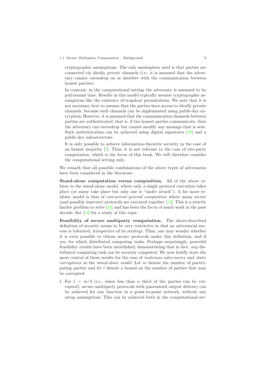#### 1.1 Secure Multiparty Computation – Background 9

cryptographic assumptions. The only assumption used is that parties are connected via ideally *private* channels (i.e., it is assumed that the adversary cannot eavesdrop on or interfere with the communication between honest parties).

In contrast, in the computational setting the adversary is assumed to be polynomial time. Results in this model typically assume cryptographic assumptions like the existence of trapdoor permutations. We note that it is not necessary here to assume that the parties have access to ideally private channels, because such channels can be implemented using public-key encryption. However, it is assumed that the communication channels between parties are authenticated; that is, if two honest parties communicate, then the adversary can eavesdrop but cannot modify any message that is sent. Such authentication can be achieved using digital signatures [38] and a public-key infrastructure.

It is only possible to achieve information-theoretic security in the case of an honest majority [9]. Thus, it is not relevant to the case of two-party computation, which is the focus of this book. We will therefore consider the computational setting only.

We remark that all possible combinations of the above types of adversaries have been considered in the literature.

Stand-alone computation versus composition. All of the above relates to the stand-alone model, where only a single protocol execution takes place (or many take place but only one is "under attack"). A far more realistic model is that of *concurrent general composition* where many secure (and possibly insecure) protocols are executed together [12]. This is a strictly harder problem to solve [14] and has been the focus of much work in the past decade. See [54] for a study of this topic.

Feasibility of secure multiparty computation. The above-described definition of security seems to be very restrictive in that no adversarial success is tolerated, irrespective of its strategy. Thus, one may wonder whether it is even possible to obtain secure protocols under this definition, and if yes, for which distributed computing tasks. Perhaps surprisingly, powerful feasibility results have been established, demonstrating that in fact, *any* distributed computing task can be securely computed. We now briefly state the most central of these results for the case of *malicious adversaries* and *static corruptions* in the *stand-alone model*. Let m denote the number of participating parties and let  $t$  denote a bound on the number of parties that may be corrupted:

1. For  $t \, < \, m/3$  (i.e., when less than a third of the parties can be corrupted), secure multiparty protocols with guaranteed output delivery can be achieved for any function in a point-to-point network, without any setup assumptions. This can be achieved both in the computational set-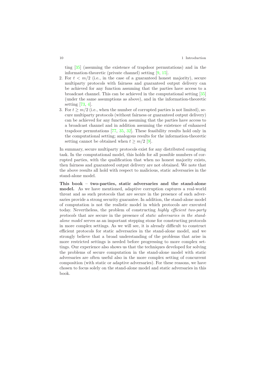ting [35] (assuming the existence of trapdoor permutations) and in the information-theoretic (private channel) setting [9, 15].

- 2. For  $t \leq m/2$  (i.e., in the case of a guaranteed honest majority), secure multiparty protocols with fairness and guaranteed output delivery can be achieved for any function assuming that the parties have access to a broadcast channel. This can be achieved in the computational setting [35] (under the same assumptions as above), and in the information-theoretic setting [73, 4].
- 3. For  $t \geq m/2$  (i.e., when the number of corrupted parties is not limited), secure multiparty protocols (without fairness or guaranteed output delivery) can be achieved for any function assuming that the parties have access to a broadcast channel and in addition assuming the existence of enhanced trapdoor permutations [77, 35, 32]. These feasibility results hold only in the computational setting; analogous results for the information-theoretic setting cannot be obtained when  $t \geq m/2$  [9].

In summary, secure multiparty protocols exist for any distributed computing task. In the computational model, this holds for all possible numbers of corrupted parties, with the qualification that when no honest majority exists, then fairness and guaranteed output delivery are not obtained. We note that the above results all hold with respect to malicious, static adversaries in the stand-alone model.

This book – two-parties, static adversaries and the stand-alone model. As we have mentioned, adaptive corruption captures a real-world threat and as such protocols that are secure in the presence of such adversaries provide a strong security guarantee. In addition, the stand-alone model of computation is not the realistic model in which protocols are executed today. Nevertheless, the problem of constructing *highly efficient two-party protocols* that are secure in the presence of *static adversaries in the standalone model* serves as an important stepping stone for constructing protocols in more complex settings. As we will see, it is already difficult to construct efficient protocols for static adversaries in the stand-alone model, and we strongly believe that a broad understanding of the problems that arise in more restricted settings is needed before progressing to more complex settings. Our experience also shows us that the techniques developed for solving the problems of secure computation in the stand-alone model with static adversaries are often useful also in the more complex setting of concurrent composition (with static or adaptive adversaries). For these reasons, we have chosen to focus solely on the stand-alone model and static adversaries in this book.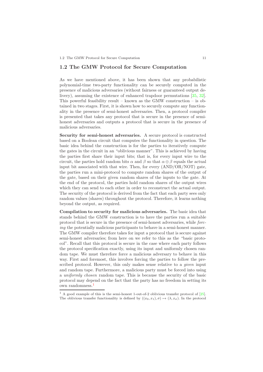### 1.2 The GMW Protocol for Secure Computation

As we have mentioned above, it has been shown that any probabilistic polynomial-time two-party functionality can be securely computed in the presence of malicious adversaries (without fairness or guaranteed output delivery), assuming the existence of enhanced trapdoor permutations [35, 32]. This powerful feasibility result – known as the GMW construction – is obtained in two stages. First, it is shown how to securely compute any functionality in the presence of semi-honest adversaries. Then, a protocol compiler is presented that takes any protocol that is secure in the presence of semihonest adversaries and outputs a protocol that is secure in the presence of malicious adversaries.

Security for semi-honest adversaries. A secure protocol is constructed based on a Boolean circuit that computes the functionality in question. The basic idea behind the construction is for the parties to iteratively compute the gates in the circuit in an "oblivious manner". This is achieved by having the parties first share their input bits; that is, for every input wire to the circuit, the parties hold random bits  $\alpha$  and  $\beta$  so that  $\alpha \oplus \beta$  equals the actual input bit associated with that wire. Then, for every (AND/OR/NOT) gate, the parties run a mini-protocol to compute random shares of the output of the gate, based on their given random shares of the inputs to the gate. At the end of the protocol, the parties hold random shares of the output wires which they can send to each other in order to reconstruct the actual output. The security of the protocol is derived from the fact that each party sees only random values (shares) throughout the protocol. Therefore, it learns nothing beyond the output, as required.

Compilation to security for malicious adversaries. The basic idea that stands behind the GMW construction is to have the parties run a suitable protocol that is secure in the presence of semi-honest adversaries, while *forcing* the potentially malicious participants to behave in a semi-honest manner. The GMW compiler therefore takes for input a protocol that is secure against semi-honest adversaries; from here on we refer to this as the "basic protocol". Recall that this protocol is secure in the case where each party follows the protocol specification exactly, using its input and uniformly chosen random tape. We must therefore force a malicious adversary to behave in this way. First and foremost, this involves forcing the parties to follow the prescribed protocol. However, this only makes sense relative to a *given* input and random tape. Furthermore, a malicious party must be forced into using a *uniformly chosen* random tape. This is because the security of the basic protocol may depend on the fact that the party has no freedom in setting its own randomness.<sup>1</sup>

<sup>1</sup> A good example of this is the semi-honest 1-out-of-2 oblivious transfer protocol of [25]. The oblivious transfer functionality is defined by  $((x_0, x_1), \sigma) \mapsto (\lambda, x_{\sigma})$ . In the protocol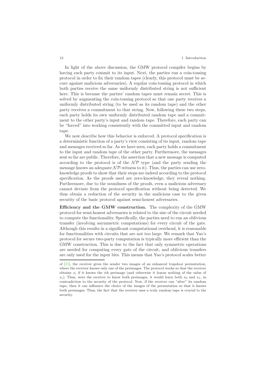#### 12 12

In light of the above discussion, the GMW protocol compiler begins by having each party commit to its input. Next, the parties run a coin-tossing protocol in order to fix their random tapes (clearly, this protocol must be secure against malicious adversaries). A regular coin-tossing protocol in which both parties receive the same uniformly distributed string is not sufficient here. This is because the parties' random tapes must remain secret. This is solved by augmenting the coin-tossing protocol so that one party receives a uniformly distributed string (to be used as its random tape) and the other party receives a commitment to that string. Now, following these two steps, each party holds its own uniformly distributed random tape and a commitment to the other party's input and random tape. Therefore, each party can be "forced" into working consistently with the committed input and random tape.

We now describe how this behavior is enforced. A protocol specification is a deterministic function of a party's view consisting of its input, random tape and messages received so far. As we have seen, each party holds a commitment to the input and random tape of the other party. Furthermore, the messages sent so far are public. Therefore, the assertion that a new message is computed according to the protocol is of the  $\mathcal{NP}$  type (and the party sending the message knows an adequate  $\mathcal{NP}$ -witness to it). Thus, the parties can use zeroknowledge proofs to show that their steps are indeed according to the protocol specification. As the proofs used are zero-knowledge, they reveal nothing. Furthermore, due to the soundness of the proofs, even a malicious adversary cannot deviate from the protocol specification without being detected. We thus obtain a reduction of the security in the malicious case to the given security of the basic protocol against semi-honest adversaries.

Efficiency and the GMW construction. The complexity of the GMW protocol for semi-honest adversaries is related to the size of the circuit needed to compute the functionality. Specifically, the parties need to run an oblivious transfer (involving asymmetric computations) for every circuit of the gate. Although this results in a significant computational overhead, it is reasonable for functionalities with circuits that are not too large. We remark that Yao's protocol for secure two-party computation is typically more efficient than the GMW construction. This is due to the fact that only symmetric operations are needed for computing every gate of the circuit, and oblivious transfers are only used for the input bits. This means that Yao's protocol scales better

of [25], the receiver gives the sender two images of an enhanced trapdoor permutation, where the receiver knows only one of the preimages. The protocol works so that the receiver obtains  $x_i$  if it knows the *i*th preimage (and otherwise it learns nothing of the value of  $x_i$ ). Thus, were the receiver to know both preimages, it would learn both  $x_0$  and  $x_1$ , in contradiction to the security of the protocol. Now, if the receiver can "alter" its random tape, then it can influence the choice of the images of the permutation so that it knows both preimages. Thus, the fact that the receiver uses a truly random tape is crucial to the security.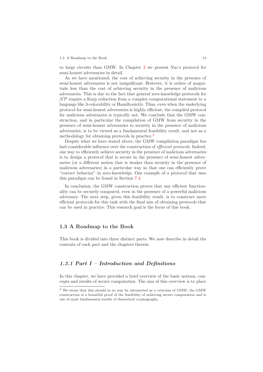#### 1.3 A Roadmap to the Book 13

to large circuits than GMW. In Chapter 3 we present Yao's protocol for semi-honest adversaries in detail.

As we have mentioned, the cost of achieving security in the presence of semi-honest adversaries is not insignificant. However, it is orders of magnitude less than the cost of achieving security in the presence of malicious adversaries. This is due to the fact that general zero-knowledge protocols for  $\mathcal{NP}$  require a Karp reduction from a complex computational statement to a language like 3-colorability or Hamiltonicity. Thus, even when the underlying protocol for semi-honest adversaries is highly efficient, the compiled protocol for malicious adversaries is typically not. We conclude that the GMW construction, and in particular the compilation of GMW from security in the presence of semi-honest adversaries to security in the presence of malicious adversaries, is to be viewed as a fundamental feasibility result, and not as a methodology for obtaining protocols in practice.<sup>2</sup>

Despite what we have stated above, the GMW compilation paradigm *has* had considerable influence over the construction of *efficient protocols*. Indeed, one way to efficiently achieve security in the presence of malicious adversaries is to design a protocol that is secure in the presence of semi-honest adversaries (or a different notion that is weaker than security in the presence of malicious adversaries) in a particular way so that one can efficiently prove "correct behavior" in zero-knowledge. One example of a protocol that uses this paradigm can be found in Section 7.4.

In conclusion, the GMW construction proves that any efficient functionality can be securely computed, even in the presence of a powerful malicious adversary. The next step, given this feasibility result, is to construct more efficient protocols for this task with the final aim of obtaining protocols that can be used in practice. This research goal is the focus of this book.

### 1.3 A Roadmap to the Book

This book is divided into three distinct parts. We now describe in detail the contents of each part and the chapters therein.

# 1.3.1 Part  $I$  – Introduction and Definitions

In this chapter, we have provided a brief overview of the basic notions, concepts and results of secure computation. The aim of this overview is to place

<sup>2</sup> We stress that this should in no way be interpreted as a criticism of GMW; the GMW construction is a beautiful proof of the feasibility of achieving secure computation and is one of most fundamental results of theoretical cryptography.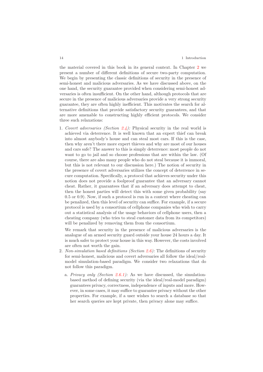the material covered in this book in its general context. In Chapter 2 we present a number of different definitions of secure two-party computation. We begin by presenting the classic definitions of security in the presence of semi-honest and malicious adversaries. As we have discussed above, on the one hand, the security guarantee provided when considering semi-honest adversaries is often insufficient. On the other hand, although protocols that are secure in the presence of malicious adversaries provide a very strong security guarantee, they are often highly inefficient. This motivates the search for alternative definitions that provide satisfactory security guarantees, and that are more amenable to constructing highly efficient protocols. We consider three such relaxations:

1. *Covert adversaries (Section 2.4):* Physical security in the real world is achieved via deterrence. It is well known that an expert thief can break into almost anybody's house and can steal most cars. If this is the case, then why aren't there more expert thieves and why are most of our houses and cars safe? The answer to this is simply deterrence: most people do not want to go to jail and so choose professions that are within the law. (Of course, there are also many people who do not steal because it is immoral, but this is not relevant to our discussion here.) The notion of security in the presence of covert adversaries utilizes the concept of deterrence in secure computation. Specifically, a protocol that achieves security under this notion does not provide a foolproof guarantee that an adversary cannot cheat. Rather, it guarantees that if an adversary does attempt to cheat, then the honest parties will detect this with some given probability (say 0.5 or 0.9). Now, if such a protocol is run in a context where cheating can be penalized, then this level of security can suffice. For example, if a secure protocol is used by a consortium of cellphone companies who wish to carry out a statistical analysis of the usage behaviors of cellphone users, then a cheating company (who tries to steal customer data from its competitors) will be penalized by removing them from the consortium.

We remark that security in the presence of malicious adversaries is the analogue of an armed security guard outside your house 24 hours a day. It is much safer to protect your house in this way. However, the costs involved are often not worth the gain.

- 2. *Non-simulation based definitions (Section 2.6):* The definitions of security for semi-honest, malicious and covert adversaries all follow the ideal/realmodel simulation-based paradigm. We consider two relaxations that do not follow this paradigm.
	- a. *Privacy only (Section 2.6.1):* As we have discussed, the simulationbased method of defining security (via the ideal/real-model paradigm) guarantees privacy, correctness, independence of inputs and more. However, in some cases, it may suffice to guarantee privacy without the other properties. For example, if a user wishes to search a database so that her search queries are kept private, then privacy alone may suffice.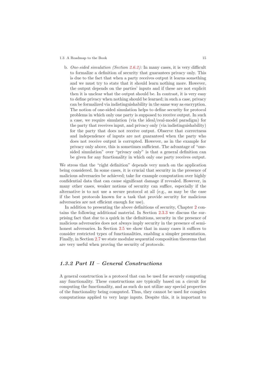#### 1.3 A Roadmap to the Book 15

b. *One-sided simulation (Section 2.6.2):* In many cases, it is very difficult to formalize a definition of security that guarantees privacy only. This is due to the fact that when a party receives output it learns something and we must try to state that it should learn nothing more. However, the output depends on the parties' inputs and if these are not explicit then it is unclear what the output should be. In contrast, it is very easy to define privacy when nothing should be learned; in such a case, privacy can be formalized via indistinguishability in the same way as encryption. The notion of one-sided simulation helps to define security for protocol problems in which only one party is supposed to receive output. In such a case, we require simulation (via the ideal/real-model paradigm) for the party that receives input, and privacy only (via indistinguishability) for the party that does not receive output. Observe that correctness and independence of inputs are not guaranteed when the party who does not receive output is corrupted. However, as in the example for privacy only above, this is sometimes sufficient. The advantage of "onesided simulation" over "privacy only" is that a general definition can be given for any functionality in which only one party receives output.

We stress that the "right definition" depends very much on the application being considered. In some cases, it is crucial that security in the presence of malicious adversaries be achieved; take for example computation over highly confidential data that can cause significant damage if revealed. However, in many other cases, weaker notions of security can suffice, especially if the alternative is to not use a secure protocol at all (e.g., as may be the case if the best protocols known for a task that provide security for malicious adversaries are not efficient enough for use).

In addition to presenting the above definitions of security, Chapter 2 contains the following additional material. In Section 2.3.3 we discuss the surprising fact that due to a quirk in the definitions, security in the presence of malicious adversaries does not always imply security in the presence of semihonest adversaries. In Section 2.5 we show that in many cases it suffices to consider restricted types of functionalities, enabling a simpler presentation. Finally, in Section 2.7 we state modular sequential composition theorems that are very useful when proving the security of protocols.

# 1.3.2 Part II – General Constructions

A general construction is a protocol that can be used for securely computing any functionality. These constructions are typically based on a circuit for computing the functionality, and as such do not utilize any special properties of the functionality being computed. Thus, they cannot be used for complex computations applied to very large inputs. Despite this, it is important to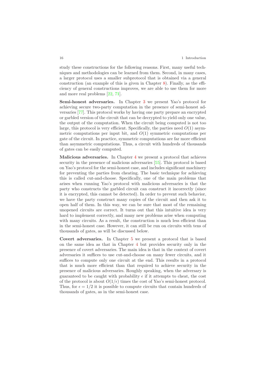study these constructions for the following reasons. First, many useful techniques and methodologies can be learned from them. Second, in many cases, a larger protocol uses a smaller subprotocol that is obtained via a general construction (an example of this is given in Chapter 8). Finally, as the efficiency of general constructions improves, we are able to use them for more and more real problems [22, 71].

Semi-honest adversaries. In Chapter 3 we present Yao's protocol for achieving secure two-party computation in the presence of semi-honest adversaries [77]. This protocol works by having one party prepare an encrypted or garbled version of the circuit that can be decrypted to yield only one value, the output of the computation. When the circuit being computed is not too large, this protocol is very efficient. Specifically, the parties need  $O(1)$  asymmetric computations per input bit, and  $O(1)$  symmetric computations per gate of the circuit. In practice, symmetric computations are far more efficient than asymmetric computations. Thus, a circuit with hundreds of thousands of gates can be easily computed.

Malicious adversaries. In Chapter 4 we present a protocol that achieves security in the presence of malicious adversaries [55]. This protocol is based on Yao's protocol for the semi-honest case, and includes significant machinery for preventing the parties from cheating. The basic technique for achieving this is called cut-and-choose. Specifically, one of the main problems that arises when running Yao's protocol with malicious adversaries is that the party who constructs the garbled circuit can construct it incorrectly (since it is encrypted, this cannot be detected). In order to prevent such behavior, we have the party construct many copies of the circuit and then ask it to open half of them. In this way, we can be sure that most of the remaining unopened circuits are correct. It turns out that this intuitive idea is very hard to implement correctly, and many new problems arise when computing with many circuits. As a result, the construction is much less efficient than in the semi-honest case. However, it can still be run on circuits with tens of thousands of gates, as will be discussed below.

Covert adversaries. In Chapter 5 we present a protocol that is based on the same idea as that in Chapter 4 but provides security only in the presence of covert adversaries. The main idea is that in the context of covert adversaries it suffices to use cut-and-choose on many fewer circuits, and it suffices to compute only one circuit at the end. This results in a protocol that is much more efficient than that required to achieve security in the presence of malicious adversaries. Roughly speaking, when the adversary is guaranteed to be caught with probability  $\epsilon$  if it attempts to cheat, the cost of the protocol is about  $O(1/\epsilon)$  times the cost of Yao's semi-honest protocol. Thus, for  $\epsilon = 1/2$  it is possible to compute circuits that contain hundreds of thousands of gates, as in the semi-honest case.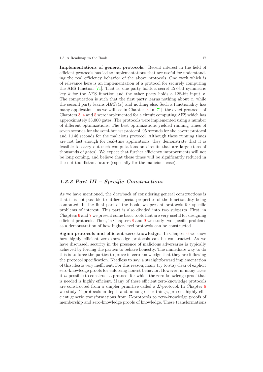#### 1.3 A Roadmap to the Book 17

Implementations of general protocols. Recent interest in the field of efficient protocols has led to implementations that are useful for understanding the real efficiency behavior of the above protocols. One work which is of relevance here is an implementation of a protocol for securely computing the AES function [71]. That is, one party holds a secret 128-bit symmetric key  $k$  for the AES function and the other party holds a 128-bit input  $x$ . The computation is such that the first party learns nothing about  $x$ , while the second party learns  $AES_k(x)$  and nothing else. Such a functionality has many applications, as we will see in Chapter 9. In [71], the exact protocols of Chapters 3, 4 and 5 were implemented for a circuit computing AES which has approximately 33,000 gates. The protocols were implemented using a number of different optimizations. The best optimizations yielded running times of seven seconds for the semi-honest protocol, 95 seconds for the covert protocol and 1,148 seconds for the malicious protocol. Although these running times are not fast enough for real-time applications, they demonstrate that it is feasible to carry out such computations on circuits that are large (tens of thousands of gates). We expect that further efficiency improvements will not be long coming, and believe that these times will be significantly reduced in the not too distant future (especially for the malicious case).

### 1.3.3 Part III – Specific Constructions

As we have mentioned, the drawback of considering general constructions is that it is not possible to utilize special properties of the functionality being computed. In the final part of the book, we present protocols for specific problems of interest. This part is also divided into two subparts. First, in Chapters 6 and 7 we present some basic tools that are very useful for designing efficient protocols. Then, in Chapters 8 and 9 we study two specific problems as a demonstration of how higher-level protocols can be constructed.

Sigma protocols and efficient zero-knowledge. In Chapter 6 we show how highly efficient zero-knowledge protocols can be constructed. As we have discussed, security in the presence of malicious adversaries is typically achieved by forcing the parties to behave honestly. The immediate way to do this is to force the parties to prove in zero-knowledge that they are following the protocol specification. Needless to say, a straightforward implementation of this idea is very inefficient. For this reason, many try to stay clear of explicit zero-knowledge proofs for enforcing honest behavior. However, in many cases it *is* possible to construct a protocol for which the zero-knowledge proof that is needed is highly efficient. Many of these efficient zero-knowledge protocols are constructed from a simpler primitive called a  $\Sigma$ -protocol. In Chapter 6 we study  $\Sigma$ -protocols in depth and, among other things, present highly efficient generic transformations from Σ-protocols to zero-knowledge proofs of membership and zero-knowledge proofs of knowledge. These transformations